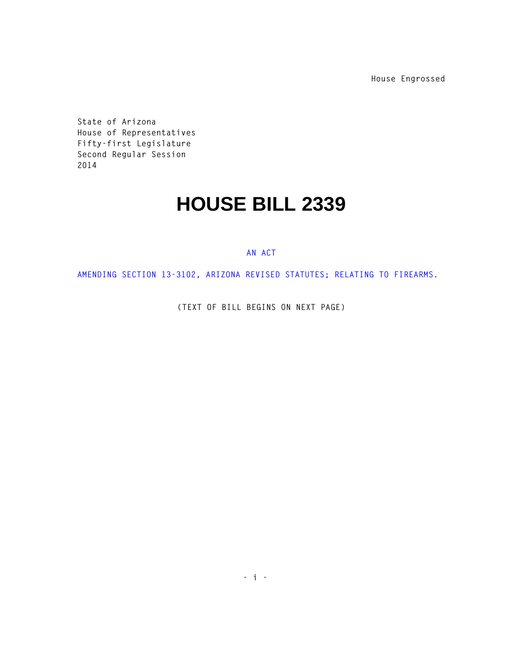**House Engrossed**

**State of Arizona House of Representatives Fifty-first Legislature Second Regular Session 2014** 

## **HOUSE BILL 2339**

## **AN ACT**

**AMENDING SECTION 13-3102, ARIZONA REVISED STATUTES; RELATING TO FIREARMS.** 

**(TEXT OF BILL BEGINS ON NEXT PAGE)**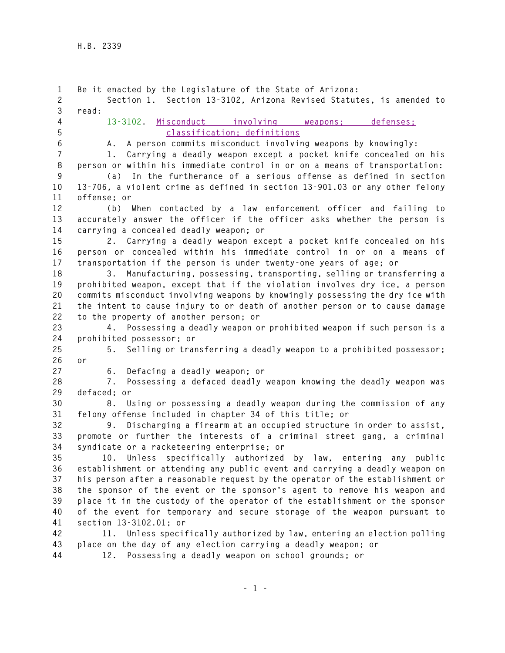**1 Be it enacted by the Legislature of the State of Arizona: 2 Section 1. Section 13-3102, Arizona Revised Statutes, is amended to 3 read: 4 13-3102. Misconduct involving weapons; defenses; 5 classification; definitions 6 A. A person commits misconduct involving weapons by knowingly: 7 1. Carrying a deadly weapon except a pocket knife concealed on his 8 person or within his immediate control in or on a means of transportation: 9 (a) In the furtherance of a serious offense as defined in section 10 13-706, a violent crime as defined in section 13-901.03 or any other felony 11 offense; or 12 (b) When contacted by a law enforcement officer and failing to 13 accurately answer the officer if the officer asks whether the person is 14 carrying a concealed deadly weapon; or 15 2. Carrying a deadly weapon except a pocket knife concealed on his 16 person or concealed within his immediate control in or on a means of 17 transportation if the person is under twenty-one years of age; or 18 3. Manufacturing, possessing, transporting, selling or transferring a 19 prohibited weapon, except that if the violation involves dry ice, a person 20 commits misconduct involving weapons by knowingly possessing the dry ice with 21 the intent to cause injury to or death of another person or to cause damage 22 to the property of another person; or 23 4. Possessing a deadly weapon or prohibited weapon if such person is a 24 prohibited possessor; or 25 5. Selling or transferring a deadly weapon to a prohibited possessor; 26 or 27 6. Defacing a deadly weapon; or 28 7. Possessing a defaced deadly weapon knowing the deadly weapon was 29 defaced; or 30 8. Using or possessing a deadly weapon during the commission of any 31 felony offense included in chapter 34 of this title; or 32 9. Discharging a firearm at an occupied structure in order to assist, 33 promote or further the interests of a criminal street gang, a criminal 34 syndicate or a racketeering enterprise; or 35 10. Unless specifically authorized by law, entering any public 36 establishment or attending any public event and carrying a deadly weapon on 37 his person after a reasonable request by the operator of the establishment or 38 the sponsor of the event or the sponsor's agent to remove his weapon and 39 place it in the custody of the operator of the establishment or the sponsor 40 of the event for temporary and secure storage of the weapon pursuant to 41 section 13-3102.01; or 42 11. Unless specifically authorized by law, entering an election polling 43 place on the day of any election carrying a deadly weapon; or 44 12. Possessing a deadly weapon on school grounds; or**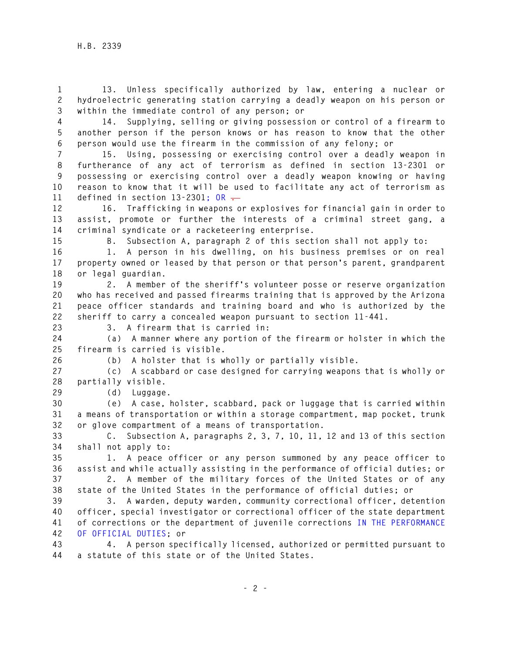**1 13. Unless specifically authorized by law, entering a nuclear or 2 hydroelectric generating station carrying a deadly weapon on his person or 3 within the immediate control of any person; or** 

**4 14. Supplying, selling or giving possession or control of a firearm to 5 another person if the person knows or has reason to know that the other 6 person would use the firearm in the commission of any felony; or** 

**7 15. Using, possessing or exercising control over a deadly weapon in 8 furtherance of any act of terrorism as defined in section 13-2301 or 9 possessing or exercising control over a deadly weapon knowing or having 10 reason to know that it will be used to facilitate any act of terrorism as 11 defined in section 13-2301; OR .** 

**12 16. Trafficking in weapons or explosives for financial gain in order to 13 assist, promote or further the interests of a criminal street gang, a 14 criminal syndicate or a racketeering enterprise.** 

**15 B. Subsection A, paragraph 2 of this section shall not apply to:** 

**16 1. A person in his dwelling, on his business premises or on real 17 property owned or leased by that person or that person's parent, grandparent 18 or legal guardian.** 

**19 2. A member of the sheriff's volunteer posse or reserve organization 20 who has received and passed firearms training that is approved by the Arizona 21 peace officer standards and training board and who is authorized by the 22 sheriff to carry a concealed weapon pursuant to section 11-441.** 

**23 3. A firearm that is carried in:** 

**24 (a) A manner where any portion of the firearm or holster in which the 25 firearm is carried is visible.** 

**26 (b) A holster that is wholly or partially visible.** 

**27 (c) A scabbard or case designed for carrying weapons that is wholly or 28 partially visible.** 

**29 (d) Luggage.** 

**30 (e) A case, holster, scabbard, pack or luggage that is carried within 31 a means of transportation or within a storage compartment, map pocket, trunk 32 or glove compartment of a means of transportation.** 

**33 C. Subsection A, paragraphs 2, 3, 7, 10, 11, 12 and 13 of this section 34 shall not apply to:** 

**35 1. A peace officer or any person summoned by any peace officer to 36 assist and while actually assisting in the performance of official duties; or** 

**37 2. A member of the military forces of the United States or of any 38 state of the United States in the performance of official duties; or** 

**39 3. A warden, deputy warden, community correctional officer, detention 40 officer, special investigator or correctional officer of the state department 41 of corrections or the department of juvenile corrections IN THE PERFORMANCE 42 OF OFFICIAL DUTIES; or** 

**43 4. A person specifically licensed, authorized or permitted pursuant to 44 a statute of this state or of the United States.**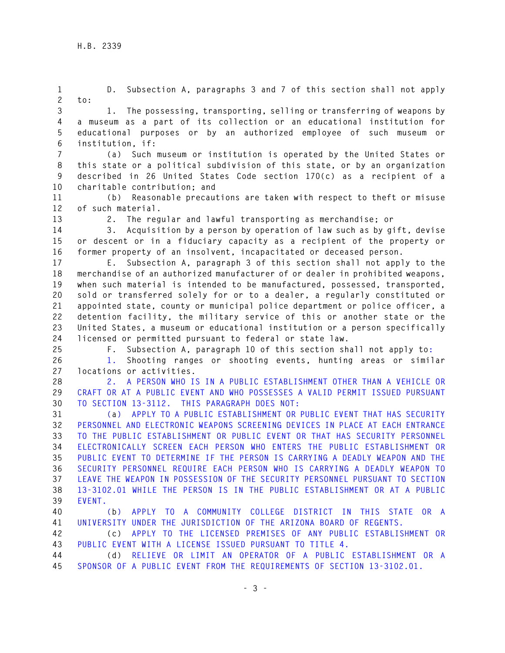**1 D. Subsection A, paragraphs 3 and 7 of this section shall not apply** 

**2 to:** 

**3 1. The possessing, transporting, selling or transferring of weapons by 4 a museum as a part of its collection or an educational institution for 5 educational purposes or by an authorized employee of such museum or 6 institution, if:** 

**7 (a) Such museum or institution is operated by the United States or 8 this state or a political subdivision of this state, or by an organization 9 described in 26 United States Code section 170(c) as a recipient of a 10 charitable contribution; and** 

**11 (b) Reasonable precautions are taken with respect to theft or misuse 12 of such material.** 

**13 2. The regular and lawful transporting as merchandise; or** 

**14 3. Acquisition by a person by operation of law such as by gift, devise 15 or descent or in a fiduciary capacity as a recipient of the property or 16 former property of an insolvent, incapacitated or deceased person.** 

**17 E. Subsection A, paragraph 3 of this section shall not apply to the 18 merchandise of an authorized manufacturer of or dealer in prohibited weapons, 19 when such material is intended to be manufactured, possessed, transported, 20 sold or transferred solely for or to a dealer, a regularly constituted or 21 appointed state, county or municipal police department or police officer, a 22 detention facility, the military service of this or another state or the 23 United States, a museum or educational institution or a person specifically 24 licensed or permitted pursuant to federal or state law.** 

**25 F. Subsection A, paragraph 10 of this section shall not apply to:** 

**26 1. Shooting ranges or shooting events, hunting areas or similar 27 locations or activities.** 

**28 2. A PERSON WHO IS IN A PUBLIC ESTABLISHMENT OTHER THAN A VEHICLE OR 29 CRAFT OR AT A PUBLIC EVENT AND WHO POSSESSES A VALID PERMIT ISSUED PURSUANT 30 TO SECTION 13-3112. THIS PARAGRAPH DOES NOT:** 

**31 (a) APPLY TO A PUBLIC ESTABLISHMENT OR PUBLIC EVENT THAT HAS SECURITY 32 PERSONNEL AND ELECTRONIC WEAPONS SCREENING DEVICES IN PLACE AT EACH ENTRANCE 33 TO THE PUBLIC ESTABLISHMENT OR PUBLIC EVENT OR THAT HAS SECURITY PERSONNEL 34 ELECTRONICALLY SCREEN EACH PERSON WHO ENTERS THE PUBLIC ESTABLISHMENT OR 35 PUBLIC EVENT TO DETERMINE IF THE PERSON IS CARRYING A DEADLY WEAPON AND THE 36 SECURITY PERSONNEL REQUIRE EACH PERSON WHO IS CARRYING A DEADLY WEAPON TO 37 LEAVE THE WEAPON IN POSSESSION OF THE SECURITY PERSONNEL PURSUANT TO SECTION 38 13-3102.01 WHILE THE PERSON IS IN THE PUBLIC ESTABLISHMENT OR AT A PUBLIC 39 EVENT.** 

**40 (b) APPLY TO A COMMUNITY COLLEGE DISTRICT IN THIS STATE OR A 41 UNIVERSITY UNDER THE JURISDICTION OF THE ARIZONA BOARD OF REGENTS.** 

**42 (c) APPLY TO THE LICENSED PREMISES OF ANY PUBLIC ESTABLISHMENT OR 43 PUBLIC EVENT WITH A LICENSE ISSUED PURSUANT TO TITLE 4.** 

**44 (d) RELIEVE OR LIMIT AN OPERATOR OF A PUBLIC ESTABLISHMENT OR A 45 SPONSOR OF A PUBLIC EVENT FROM THE REQUIREMENTS OF SECTION 13-3102.01.**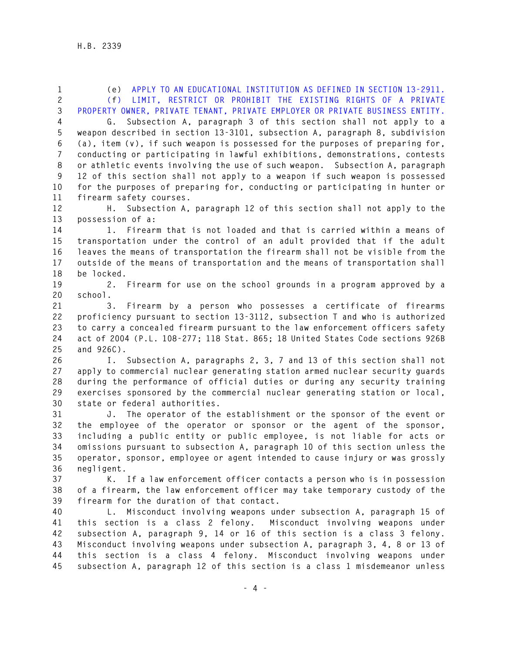| $\mathbf{1}$   | APPLY TO AN EDUCATIONAL INSTITUTION AS DEFINED IN SECTION 13-2911.<br>(e)     |
|----------------|-------------------------------------------------------------------------------|
| $\mathbf{2}$   | LIMIT, RESTRICT OR PROHIBIT THE EXISTING RIGHTS OF A PRIVATE<br>(f)           |
| $\mathfrak{Z}$ | PROPERTY OWNER, PRIVATE TENANT, PRIVATE EMPLOYER OR PRIVATE BUSINESS ENTITY.  |
| $\overline{4}$ | Subsection A, paragraph 3 of this section shall not apply to a<br>G.          |
| 5              | weapon described in section 13-3101, subsection A, paragraph 8, subdivision   |
| 6              | (a), item (v), if such weapon is possessed for the purposes of preparing for, |
| $\overline{7}$ | conducting or participating in lawful exhibitions, demonstrations, contests   |
| $\, 8$         | or athletic events involving the use of such weapon. Subsection A, paragraph  |
| 9              | 12 of this section shall not apply to a weapon if such weapon is possessed    |
| 10             | for the purposes of preparing for, conducting or participating in hunter or   |
| 11             | firearm safety courses.                                                       |
| 12             | Subsection A, paragraph 12 of this section shall not apply to the<br>Η.       |
| 13             | possession of a:                                                              |
| 14             | Firearm that is not loaded and that is carried within a means of<br>1.        |
| 15             | transportation under the control of an adult provided that if the adult       |
| 16             | leaves the means of transportation the firearm shall not be visible from the  |
| 17             | outside of the means of transportation and the means of transportation shall  |
| 18             | be locked.                                                                    |
| 19             | Firearm for use on the school grounds in a program approved by a<br>2.        |
| 20             | school.                                                                       |
| 21             | Firearm by a person who possesses a certificate of firearms<br>3.             |
| 22             | proficiency pursuant to section 13-3112, subsection T and who is authorized   |
| 23             | to carry a concealed firearm pursuant to the law enforcement officers safety  |
| 24             | act of 2004 (P.L. 108-277; 118 Stat. 865; 18 United States Code sections 926B |
| 25             | and 926C).                                                                    |
| 26             | Subsection A, paragraphs 2, 3, 7 and 13 of this section shall not<br>Ι.       |
| 27             | apply to commercial nuclear generating station armed nuclear security guards  |
| 28             | during the performance of official duties or during any security training     |
| 29             | exercises sponsored by the commercial nuclear generating station or local,    |
| 30             | state or federal authorities.                                                 |
| 31             | J. The operator of the establishment or the sponsor of the event or           |
| 32             | the employee of the operator or sponsor or the agent of the sponsor,          |
| 33             | including a public entity or public employee, is not liable for acts or       |
| 34             | omissions pursuant to subsection A, paragraph 10 of this section unless the   |
| 35             | operator, sponsor, employee or agent intended to cause injury or was grossly  |
| 36             | negligent.                                                                    |
| 37             | K. If a law enforcement officer contacts a person who is in possession        |
| 38             | of a firearm, the law enforcement officer may take temporary custody of the   |
| 39             | firearm for the duration of that contact.                                     |

**40 L. Misconduct involving weapons under subsection A, paragraph 15 of 41 this section is a class 2 felony. Misconduct involving weapons under 42 subsection A, paragraph 9, 14 or 16 of this section is a class 3 felony. 43 Misconduct involving weapons under subsection A, paragraph 3, 4, 8 or 13 of 44 this section is a class 4 felony. Misconduct involving weapons under 45 subsection A, paragraph 12 of this section is a class 1 misdemeanor unless**